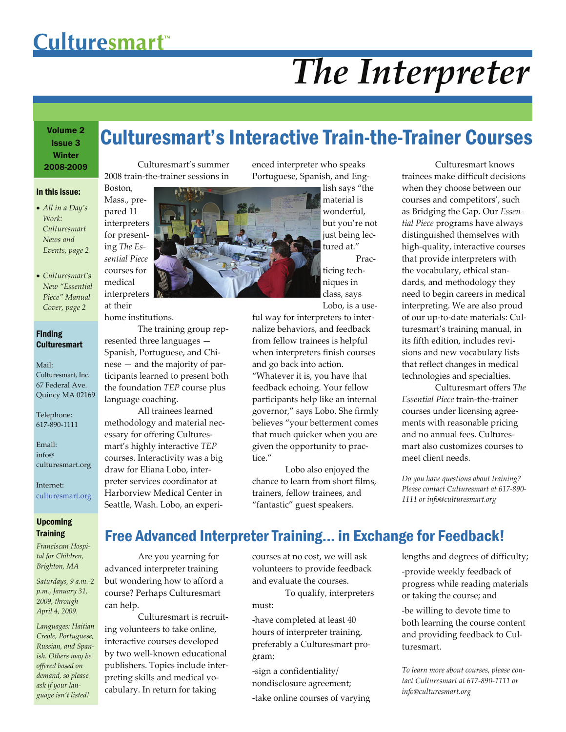# Culturesmart<sup>™</sup>

Boston,

pared 11

medical

at their

# *The Interpreter*

## Volume 2 Issue 3 **Winter** 2008-2009

#### In this issue:

- *All in a Day's Work: Culturesmart News and Events, page 2*
- *Culturesmart's New "Essential Piece" Manual Cover, page 2*

### Finding **Culturesmart**

Mail: Culturesmart, Inc. 67 Federal Ave. Quincy MA 02169

Telephone: 617‐890‐1111

Email: info@ culturesmart.org

Internet: culturesmart.org

## Upcoming **Training**

*Franciscan Hospi‐ tal for Children, Brighton, MA*

*Saturdays, 9 a.m.‐2 p.m., January 31, 2009, through April 4, 2009.* 

*Languages: Haitian Creole, Portuguese, Russian, and Span‐ ish. Others may be offered based on demand, so please ask if your lan‐ guage isn't listed!*

## Culturesmart's Interactive Train-the-Trainer Courses

Culturesmart's summer 2008 train‐the‐trainer sessions in



home institutions.

The training group rep‐ resented three languages — Spanish, Portuguese, and Chi‐ nese — and the majority of par‐ ticipants learned to present both the foundation *TEP* course plus language coaching.

All trainees learned methodology and material nec‐ essary for offering Cultures‐ mart's highly interactive *TEP* courses. Interactivity was a big draw for Eliana Lobo, inter‐ preter services coordinator at Harborview Medical Center in Seattle, Wash. Lobo, an experi‐

enced interpreter who speaks Portuguese, Spanish, and Eng‐

lish says "the material is wonderful, but you're not just being lec‐ tured at." Prac‐

ticing tech‐ niques in class, says Lobo, is a use‐

ful way for interpreters to inter‐ nalize behaviors, and feedback from fellow trainees is helpful when interpreters finish courses and go back into action. "Whatever it is, you have that feedback echoing. Your fellow participants help like an internal governor," says Lobo. She firmly believes "your betterment comes that much quicker when you are given the opportunity to prac‐ tice."

Lobo also enjoyed the chance to learn from short films, trainers, fellow trainees, and "fantastic" guest speakers.

Culturesmart knows trainees make difficult decisions when they choose between our courses and competitors', such as Bridging the Gap. Our *Essen‐ tial Piece* programs have always distinguished themselves with high‐quality, interactive courses that provide interpreters with the vocabulary, ethical stan‐ dards, and methodology they need to begin careers in medical interpreting. We are also proud of our up‐to‐date materials: Cul‐ turesmart's training manual, in its fifth edition, includes revi‐ sions and new vocabulary lists that reflect changes in medical technologies and specialties.

Culturesmart offers *The Essential Piece* train‐the‐trainer courses under licensing agree‐ ments with reasonable pricing and no annual fees. Cultures‐ mart also customizes courses to meet client needs.

*Do you have questions about training? Please contact Culturesmart at 617‐890‐ 1111 or info@culturesmart.org*

## Free Advanced Interpreter Training... in Exchange for Feedback!

Are you yearning for advanced interpreter training but wondering how to afford a course? Perhaps Culturesmart can help.

Culturesmart is recruit‐ ing volunteers to take online, interactive courses developed by two well‐known educational publishers. Topics include inter‐ preting skills and medical vo‐ cabulary. In return for taking

courses at no cost, we will ask volunteers to provide feedback and evaluate the courses.

To qualify, interpreters must:

‐have completed at least 40 hours of interpreter training, preferably a Culturesmart pro‐ gram;

‐sign a confidentiality/ nondisclosure agreement; ‐take online courses of varying lengths and degrees of difficulty; ‐provide weekly feedback of progress while reading materials or taking the course; and ‐be willing to devote time to both learning the course content and providing feedback to Cul‐ turesmart.

*To learn more about courses, please con‐ tact Culturesmart at 617‐890‐1111 or info@culturesmart.org*